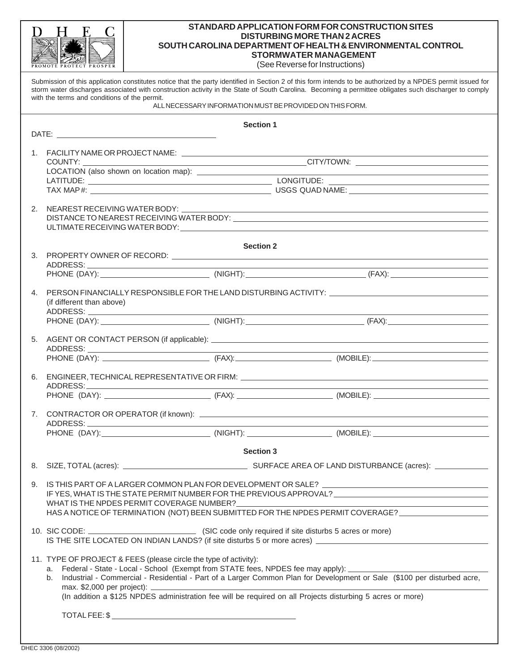|    | PROMOTE PROTECT PROSPEI                                                                                                          |                                                                                                                                                                                | STANDARD APPLICATION FORM FOR CONSTRUCTION SITES<br><b>DISTURBING MORE THAN 2 ACRES</b><br>SOUTH CAROLINA DEPARTMENT OF HEALTH & ENVIRONMENTAL CONTROL<br><b>STORMWATER MANAGEMENT</b><br>(See Reverse for Instructions)                                                                                             |  |  |
|----|----------------------------------------------------------------------------------------------------------------------------------|--------------------------------------------------------------------------------------------------------------------------------------------------------------------------------|----------------------------------------------------------------------------------------------------------------------------------------------------------------------------------------------------------------------------------------------------------------------------------------------------------------------|--|--|
|    | with the terms and conditions of the permit.                                                                                     |                                                                                                                                                                                | Submission of this application constitutes notice that the party identified in Section 2 of this form intends to be authorized by a NPDES permit issued for<br>storm water discharges associated with construction activity in the State of South Carolina. Becoming a permittee obligates such discharger to comply |  |  |
|    |                                                                                                                                  | ALL NECESSARY INFORMATION MUST BE PROVIDED ON THIS FORM.                                                                                                                       |                                                                                                                                                                                                                                                                                                                      |  |  |
|    |                                                                                                                                  | <b>Section 1</b>                                                                                                                                                               |                                                                                                                                                                                                                                                                                                                      |  |  |
|    | COUNTY:                                                                                                                          |                                                                                                                                                                                |                                                                                                                                                                                                                                                                                                                      |  |  |
|    |                                                                                                                                  |                                                                                                                                                                                | <u> 1989 - Johann Barn, fransk politik (d. 1989)</u>                                                                                                                                                                                                                                                                 |  |  |
|    |                                                                                                                                  |                                                                                                                                                                                |                                                                                                                                                                                                                                                                                                                      |  |  |
|    |                                                                                                                                  |                                                                                                                                                                                |                                                                                                                                                                                                                                                                                                                      |  |  |
| 2. |                                                                                                                                  |                                                                                                                                                                                |                                                                                                                                                                                                                                                                                                                      |  |  |
|    |                                                                                                                                  |                                                                                                                                                                                |                                                                                                                                                                                                                                                                                                                      |  |  |
|    |                                                                                                                                  | <b>Section 2</b>                                                                                                                                                               |                                                                                                                                                                                                                                                                                                                      |  |  |
|    |                                                                                                                                  |                                                                                                                                                                                |                                                                                                                                                                                                                                                                                                                      |  |  |
|    | 4. PERSON FINANCIALLY RESPONSIBLE FOR THE LAND DISTURBING ACTIVITY: _______________________________<br>(if different than above) |                                                                                                                                                                                |                                                                                                                                                                                                                                                                                                                      |  |  |
|    |                                                                                                                                  |                                                                                                                                                                                |                                                                                                                                                                                                                                                                                                                      |  |  |
|    |                                                                                                                                  |                                                                                                                                                                                |                                                                                                                                                                                                                                                                                                                      |  |  |
|    |                                                                                                                                  |                                                                                                                                                                                |                                                                                                                                                                                                                                                                                                                      |  |  |
|    | <u> 1989 - Johann Barbara, martxa alemaniar a</u><br><u> 1989 - Johann Barn, amerikansk politiker (d. 1989)</u>                  |                                                                                                                                                                                |                                                                                                                                                                                                                                                                                                                      |  |  |
|    |                                                                                                                                  |                                                                                                                                                                                |                                                                                                                                                                                                                                                                                                                      |  |  |
|    |                                                                                                                                  |                                                                                                                                                                                |                                                                                                                                                                                                                                                                                                                      |  |  |
|    |                                                                                                                                  |                                                                                                                                                                                |                                                                                                                                                                                                                                                                                                                      |  |  |
|    |                                                                                                                                  | <b>Section 3</b>                                                                                                                                                               |                                                                                                                                                                                                                                                                                                                      |  |  |
|    |                                                                                                                                  |                                                                                                                                                                                |                                                                                                                                                                                                                                                                                                                      |  |  |
|    |                                                                                                                                  |                                                                                                                                                                                |                                                                                                                                                                                                                                                                                                                      |  |  |
| 9. |                                                                                                                                  |                                                                                                                                                                                | IF YES, WHAT IS THE STATE PERMIT NUMBER FOR THE PREVIOUS APPROVAL? _________________________________<br>HAS A NOTICE OF TERMINATION (NOT) BEEN SUBMITTED FOR THE NPDES PERMIT COVERAGE?                                                                                                                              |  |  |
|    |                                                                                                                                  |                                                                                                                                                                                |                                                                                                                                                                                                                                                                                                                      |  |  |
|    | b.                                                                                                                               | 11. TYPE OF PROJECT & FEES (please circle the type of activity):<br>(In addition a \$125 NPDES administration fee will be required on all Projects disturbing 5 acres or more) | Industrial - Commercial - Residential - Part of a Larger Common Plan for Development or Sale (\$100 per disturbed acre,                                                                                                                                                                                              |  |  |
|    |                                                                                                                                  |                                                                                                                                                                                |                                                                                                                                                                                                                                                                                                                      |  |  |
|    |                                                                                                                                  |                                                                                                                                                                                |                                                                                                                                                                                                                                                                                                                      |  |  |

**STANDARD APPLICATION FORM FOR CONSTRUCTION SITES**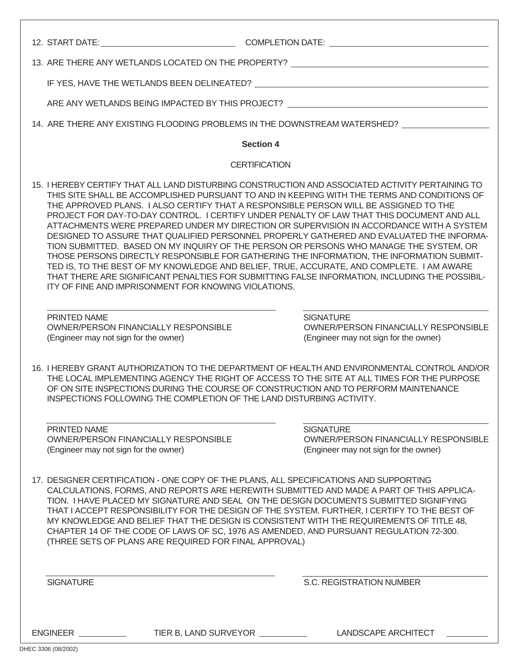|                                                       |                                                                                                                                                                                                                                                                                                                                                                                                                                                                                                                                                                                                                                                                                                                                                                                                                                                                                                                                                                                                                          | 13. ARE THERE ANY WETLANDS LOCATED ON THE PROPERTY? _____________________________                        |  |  |
|-------------------------------------------------------|--------------------------------------------------------------------------------------------------------------------------------------------------------------------------------------------------------------------------------------------------------------------------------------------------------------------------------------------------------------------------------------------------------------------------------------------------------------------------------------------------------------------------------------------------------------------------------------------------------------------------------------------------------------------------------------------------------------------------------------------------------------------------------------------------------------------------------------------------------------------------------------------------------------------------------------------------------------------------------------------------------------------------|----------------------------------------------------------------------------------------------------------|--|--|
|                                                       | IF YES, HAVE THE WETLANDS BEEN DELINEATED? THE CONSTRUCTION OF A SERIES OF A SERIES OF A SERIES OF A SERIES OF                                                                                                                                                                                                                                                                                                                                                                                                                                                                                                                                                                                                                                                                                                                                                                                                                                                                                                           |                                                                                                          |  |  |
|                                                       | ARE ANY WETLANDS BEING IMPACTED BY THIS PROJECT?                                                                                                                                                                                                                                                                                                                                                                                                                                                                                                                                                                                                                                                                                                                                                                                                                                                                                                                                                                         |                                                                                                          |  |  |
|                                                       | 14. ARE THERE ANY EXISTING FLOODING PROBLEMS IN THE DOWNSTREAM WATERSHED? __________________________                                                                                                                                                                                                                                                                                                                                                                                                                                                                                                                                                                                                                                                                                                                                                                                                                                                                                                                     |                                                                                                          |  |  |
|                                                       | <b>Section 4</b>                                                                                                                                                                                                                                                                                                                                                                                                                                                                                                                                                                                                                                                                                                                                                                                                                                                                                                                                                                                                         |                                                                                                          |  |  |
|                                                       | <b>CERTIFICATION</b>                                                                                                                                                                                                                                                                                                                                                                                                                                                                                                                                                                                                                                                                                                                                                                                                                                                                                                                                                                                                     |                                                                                                          |  |  |
|                                                       | 15. I HEREBY CERTIFY THAT ALL LAND DISTURBING CONSTRUCTION AND ASSOCIATED ACTIVITY PERTAINING TO<br>THIS SITE SHALL BE ACCOMPLISHED PURSUANT TO AND IN KEEPING WITH THE TERMS AND CONDITIONS OF<br>THE APPROVED PLANS. I ALSO CERTIFY THAT A RESPONSIBLE PERSON WILL BE ASSIGNED TO THE<br>PROJECT FOR DAY-TO-DAY CONTROL. I CERTIFY UNDER PENALTY OF LAW THAT THIS DOCUMENT AND ALL<br>ATTACHMENTS WERE PREPARED UNDER MY DIRECTION OR SUPERVISION IN ACCORDANCE WITH A SYSTEM<br>DESIGNED TO ASSURE THAT QUALIFIED PERSONNEL PROPERLY GATHERED AND EVALUATED THE INFORMA-<br>TION SUBMITTED. BASED ON MY INQUIRY OF THE PERSON OR PERSONS WHO MANAGE THE SYSTEM, OR<br>THOSE PERSONS DIRECTLY RESPONSIBLE FOR GATHERING THE INFORMATION, THE INFORMATION SUBMIT-<br>TED IS, TO THE BEST OF MY KNOWLEDGE AND BELIEF, TRUE, ACCURATE, AND COMPLETE. I AM AWARE<br>THAT THERE ARE SIGNIFICANT PENALTIES FOR SUBMITTING FALSE INFORMATION, INCLUDING THE POSSIBIL-<br>ITY OF FINE AND IMPRISONMENT FOR KNOWING VIOLATIONS. |                                                                                                          |  |  |
| PRINTED NAME<br>(Engineer may not sign for the owner) | <b>OWNER/PERSON FINANCIALLY RESPONSIBLE</b>                                                                                                                                                                                                                                                                                                                                                                                                                                                                                                                                                                                                                                                                                                                                                                                                                                                                                                                                                                              | <b>SIGNATURE</b><br><b>OWNER/PERSON FINANCIALLY RESPONSIBLE</b><br>(Engineer may not sign for the owner) |  |  |
|                                                       | 16. I HEREBY GRANT AUTHORIZATION TO THE DEPARTMENT OF HEALTH AND ENVIRONMENTAL CONTROL AND/OR<br>THE LOCAL IMPLEMENTING AGENCY THE RIGHT OF ACCESS TO THE SITE AT ALL TIMES FOR THE PURPOSE<br>OF ON SITE INSPECTIONS DURING THE COURSE OF CONSTRUCTION AND TO PERFORM MAINTENANCE<br>INSPECTIONS FOLLOWING THE COMPLETION OF THE LAND DISTURBING ACTIVITY.                                                                                                                                                                                                                                                                                                                                                                                                                                                                                                                                                                                                                                                              |                                                                                                          |  |  |
| PRINTED NAME<br>(Engineer may not sign for the owner) | <b>OWNER/PERSON FINANCIALLY RESPONSIBLE</b>                                                                                                                                                                                                                                                                                                                                                                                                                                                                                                                                                                                                                                                                                                                                                                                                                                                                                                                                                                              | <b>SIGNATURE</b><br><b>OWNER/PERSON FINANCIALLY RESPONSIBLE</b><br>(Engineer may not sign for the owner) |  |  |
|                                                       | 17. DESIGNER CERTIFICATION - ONE COPY OF THE PLANS, ALL SPECIFICATIONS AND SUPPORTING<br>CALCULATIONS, FORMS, AND REPORTS ARE HEREWITH SUBMITTED AND MADE A PART OF THIS APPLICA-<br>TION. I HAVE PLACED MY SIGNATURE AND SEAL ON THE DESIGN DOCUMENTS SUBMITTED SIGNIFYING<br>THAT I ACCEPT RESPONSIBILITY FOR THE DESIGN OF THE SYSTEM. FURTHER, I CERTIFY TO THE BEST OF<br>MY KNOWLEDGE AND BELIEF THAT THE DESIGN IS CONSISTENT WITH THE REQUIREMENTS OF TITLE 48,<br>CHAPTER 14 OF THE CODE OF LAWS OF SC, 1976 AS AMENDED, AND PURSUANT REGULATION 72-300.<br>(THREE SETS OF PLANS ARE REQUIRED FOR FINAL APPROVAL)                                                                                                                                                                                                                                                                                                                                                                                               |                                                                                                          |  |  |
| <b>SIGNATURE</b>                                      |                                                                                                                                                                                                                                                                                                                                                                                                                                                                                                                                                                                                                                                                                                                                                                                                                                                                                                                                                                                                                          | <b>S.C. REGISTRATION NUMBER</b>                                                                          |  |  |
| ENGINEER                                              | TIER B, LAND SURVEYOR <u>_______________</u>                                                                                                                                                                                                                                                                                                                                                                                                                                                                                                                                                                                                                                                                                                                                                                                                                                                                                                                                                                             | LANDSCAPE ARCHITECT                                                                                      |  |  |